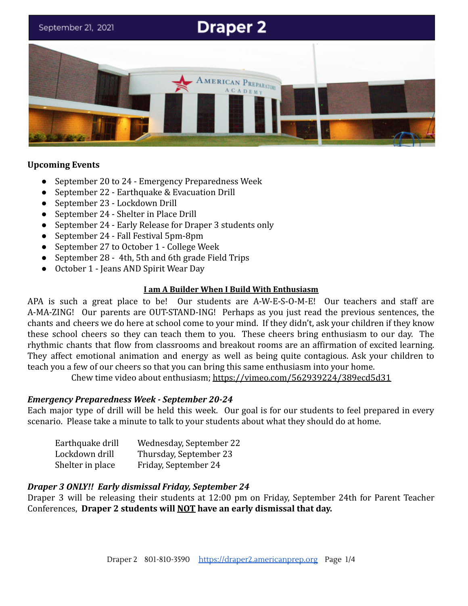# **Draper 2** September 21, 2021 MERICAN PREPARATORY **ACADEM**

## **Upcoming Events**

- September 20 to 24 Emergency Preparedness Week
- September 22 Earthquake & Evacuation Drill
- September 23 Lockdown Drill
- September 24 Shelter in Place Drill
- September 24 Early Release for Draper 3 students only
- September 24 Fall Festival 5pm-8pm
- September 27 to October 1 College Week
- September 28 4th, 5th and 6th grade Field Trips
- October 1 Jeans AND Spirit Wear Day

#### **I am A Builder When I Build With Enthusiasm**

APA is such a great place to be! Our students are A-W-E-S-O-M-E! Our teachers and staff are A-MA-ZING! Our parents are OUT-STAND-ING! Perhaps as you just read the previous sentences, the chants and cheers we do here at school come to your mind. If they didn't, ask your children if they know these school cheers so they can teach them to you. These cheers bring enthusiasm to our day. The rhythmic chants that flow from classrooms and breakout rooms are an affirmation of excited learning. They affect emotional animation and energy as well as being quite contagious. Ask your children to teach you a few of our cheers so that you can bring this same enthusiasm into your home.

Chew time video about enthusiasm; <https://vimeo.com/562939224/389ecd5d31>

## *Emergency Preparedness Week - September 20-24*

Each major type of drill will be held this week. Our goal is for our students to feel prepared in every scenario. Please take a minute to talk to your students about what they should do at home.

| Earthquake drill | Wednesday, September 22 |
|------------------|-------------------------|
| Lockdown drill   | Thursday, September 23  |
| Shelter in place | Friday, September 24    |

## *Draper 3 ONLY!! Early dismissal Friday, September 24*

Draper 3 will be releasing their students at 12:00 pm on Friday, September 24th for Parent Teacher Conferences, **Draper 2 students will NOT have an early dismissal that day.**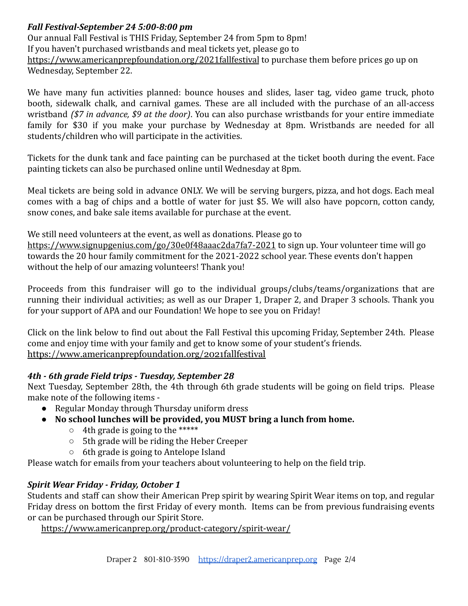# *Fall Festival-September 24 5:00-8:00 pm*

Our annual Fall Festival is THIS Friday, September 24 from 5pm to 8pm! If you haven't purchased wristbands and meal tickets yet, please go to [https://www.americanprepfoundation.org/2021fallfestival](http://track.spe.schoolmessenger.com/f/a/TnQ7HDdMM2pl0Pce8lbMnA~~/AAAAAQA~/RgRjKn0-P0R8aHR0cHM6Ly93d3cuYW1lcmljYW5wcmVwZm91bmRhdGlvbi5vcmcvMjAyMWZhbGxmZXN0aXZhbD9mYmNsaWQ9SXdBUjJTbVRsTUtSdk9jSjNqc0l5S29pbGlXT1VWSkJMcl9US3FYVjM0T2RxekFhcURDZ2ppOWVNZ1d6OFcHc2Nob29sbUIKYUi-SUlh7I8sH1IRbWdvdWRnZUBnbWFpbC5jb21YBAAAAAE~) to purchase them before prices go up on Wednesday, September 22.

We have many fun activities planned: bounce houses and slides, laser tag, video game truck, photo booth, sidewalk chalk, and carnival games. These are all included with the purchase of an all-access wristband *(\$7 in advance, \$9 at the door)*. You can also purchase wristbands for your entire immediate family for \$30 if you make your purchase by Wednesday at 8pm. Wristbands are needed for all students/children who will participate in the activities.

Tickets for the dunk tank and face painting can be purchased at the ticket booth during the event. Face painting tickets can also be purchased online until Wednesday at 8pm.

Meal tickets are being sold in advance ONLY. We will be serving burgers, pizza, and hot dogs. Each meal comes with a bag of chips and a bottle of water for just \$5. We will also have popcorn, cotton candy, snow cones, and bake sale items available for purchase at the event.

We still need volunteers at the event, as well as donations. Please go to

[https://www.signupgenius.com/go/30e0f48aaac2da7fa7-2021](http://track.spe.schoolmessenger.com/f/a/k_JPu17zmezBk7NBCsDycQ~~/AAAAAQA~/RgRjKn0-P0R8aHR0cHM6Ly93d3cuc2lnbnVwZ2VuaXVzLmNvbS9nby8zMGUwZjQ4YWFhYzJkYTdmYTctMjAyMT9mYmNsaWQ9SXdBUjA5M2xUdVo2dmduQWNWYk1KTWJJR2lsdTdRdmU4UGp1V0ZuUzZuTTJDUHJzYXdDMFZpNkRPMzl3b1cHc2Nob29sbUIKYUi-SUlh7I8sH1IRbWdvdWRnZUBnbWFpbC5jb21YBAAAAAE~) to sign up. Your volunteer time will go towards the 20 hour family commitment for the 2021-2022 school year. These events don't happen without the help of our amazing volunteers! Thank you!

Proceeds from this fundraiser will go to the individual groups/clubs/teams/organizations that are running their individual activities; as well as our Draper 1, Draper 2, and Draper 3 schools. Thank you for your support of APA and our Foundation! We hope to see you on Friday!

Click on the link below to find out about the Fall Festival this upcoming Friday, September 24th. Please come and enjoy time with your family and get to know some of your student's friends. <https://www.americanprepfoundation.org/2021fallfestival>

# *4th - 6th grade Field trips - Tuesday, September 28*

Next Tuesday, September 28th, the 4th through 6th grade students will be going on field trips. Please make note of the following items -

- Regular Monday through Thursday uniform dress
- **● No school lunches will be provided, you MUST bring a lunch from home.**
	- 4th grade is going to the \*\*\*\*\*
	- 5th grade will be riding the Heber Creeper
	- 6th grade is going to Antelope Island

Please watch for emails from your teachers about volunteering to help on the field trip.

# *Spirit Wear Friday - Friday, October 1*

Students and staff can show their American Prep spirit by wearing Spirit Wear items on top, and regular Friday dress on bottom the first Friday of every month. Items can be from previous fundraising events or can be purchased through our Spirit Store.

<https://www.americanprep.org/product-category/spirit-wear/>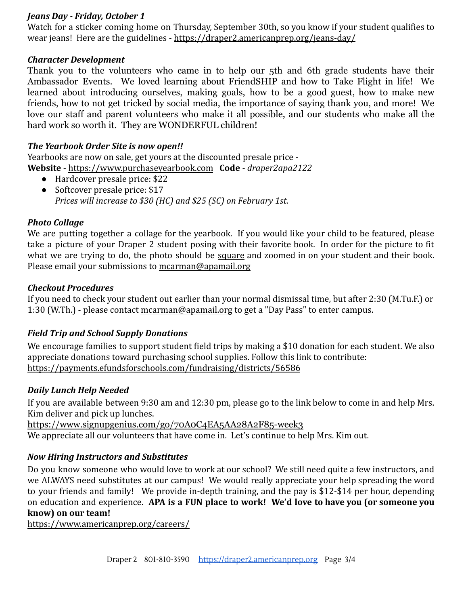## *Jeans Day - Friday, October 1*

Watch for a sticker coming home on Thursday, September 30th, so you know if your student qualifies to wear jeans! Here are the guidelines - <https://draper2.americanprep.org/jeans-day/>

## *Character Development*

Thank you to the volunteers who came in to help our 5th and 6th grade students have their Ambassador Events. We loved learning about FriendSHIP and how to Take Flight in life! We learned about introducing ourselves, making goals, how to be a good guest, how to make new friends, how to not get tricked by social media, the importance of saying thank you, and more! We love our staff and parent volunteers who make it all possible, and our students who make all the hard work so worth it. They are WONDERFUL children!

## *The Yearbook Order Site is now open!!*

Yearbooks are now on sale, get yours at the discounted presale price - **Website** - [https://www.purchaseyearbook.com](https://www.purchaseyearbook.com/) **Code** - *draper2apa2122*

- Hardcover presale price: \$22
- Softcover presale price: \$17 *Prices will increase to \$30 (HC) and \$25 (SC) on February 1st.*

# *Photo Collage*

We are putting together a collage for the yearbook. If you would like your child to be featured, please take a picture of your Draper 2 student posing with their favorite book. In order for the picture to fit what we are trying to do, the photo should be square and zoomed in on your student and their book. Please email your submissions to [mcarman@apamail.org](mailto:mcarman@apamail.org)

## *Checkout Procedures*

If you need to check your student out earlier than your normal dismissal time, but after 2:30 (M.Tu.F.) or 1:30 (W.Th.) - please contact [mcarman@apamail.org](mailto:mcarman@apamail.org) to get a "Day Pass" to enter campus.

# *Field Trip and School Supply Donations*

We encourage families to support student field trips by making a \$10 donation for each student. We also appreciate donations toward purchasing school supplies. Follow this link to contribute: <https://payments.efundsforschools.com/fundraising/districts/56586>

## *Daily Lunch Help Needed*

If you are available between 9:30 am and 12:30 pm, please go to the link below to come in and help Mrs. Kim deliver and pick up lunches.

<https://www.signupgenius.com/go/70A0C4EA5AA28A2F85-week3>

We appreciate all our volunteers that have come in. Let's continue to help Mrs. Kim out.

# *Now Hiring Instructors and Substitutes*

Do you know someone who would love to work at our school? We still need quite a few instructors, and we ALWAYS need substitutes at our campus! We would really appreciate your help spreading the word to your friends and family! We provide in-depth training, and the pay is \$12-\$14 per hour, depending on education and experience. **APA is a FUN place to work! We'd love to have you (or someone you know) on our team!**

<https://www.americanprep.org/careers/>